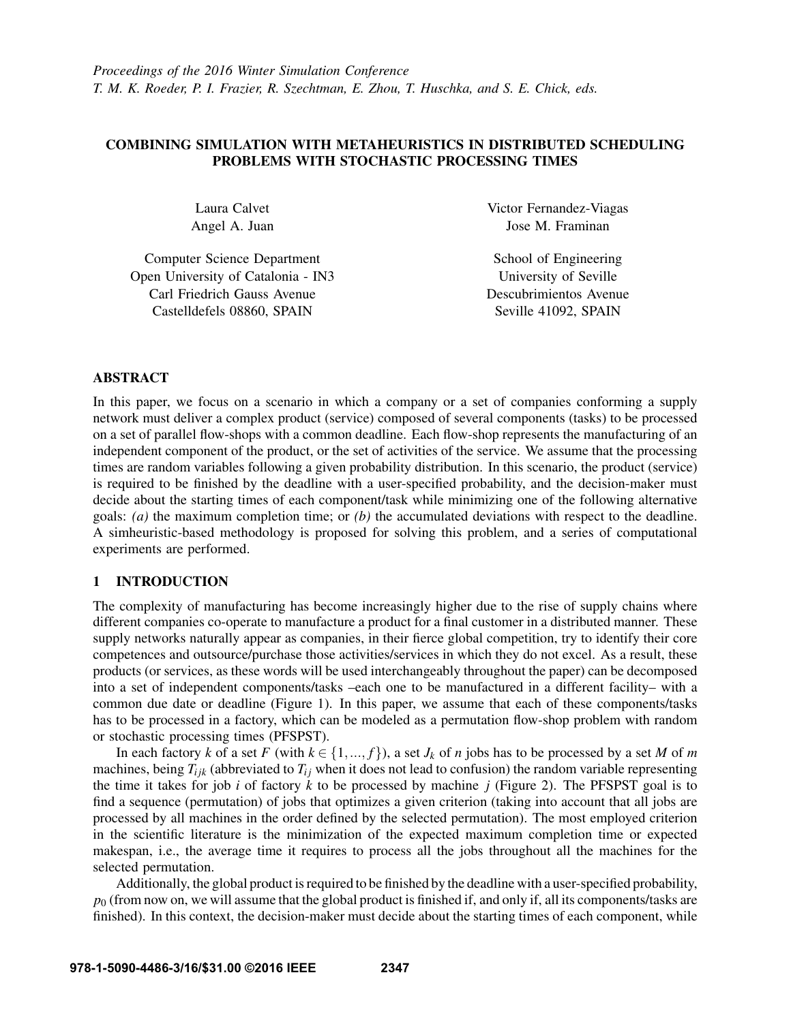# COMBINING SIMULATION WITH METAHEURISTICS IN DISTRIBUTED SCHEDULING PROBLEMS WITH STOCHASTIC PROCESSING TIMES

Laura Calvet Angel A. Juan

Computer Science Department Open University of Catalonia - IN3 Carl Friedrich Gauss Avenue Castelldefels 08860, SPAIN

Victor Fernandez-Viagas Jose M. Framinan

School of Engineering University of Seville Descubrimientos Avenue Seville 41092, SPAIN

### ABSTRACT

In this paper, we focus on a scenario in which a company or a set of companies conforming a supply network must deliver a complex product (service) composed of several components (tasks) to be processed on a set of parallel flow-shops with a common deadline. Each flow-shop represents the manufacturing of an independent component of the product, or the set of activities of the service. We assume that the processing times are random variables following a given probability distribution. In this scenario, the product (service) is required to be finished by the deadline with a user-specified probability, and the decision-maker must decide about the starting times of each component/task while minimizing one of the following alternative goals: *(a)* the maximum completion time; or *(b)* the accumulated deviations with respect to the deadline. A simheuristic-based methodology is proposed for solving this problem, and a series of computational experiments are performed.

### 1 INTRODUCTION

The complexity of manufacturing has become increasingly higher due to the rise of supply chains where different companies co-operate to manufacture a product for a final customer in a distributed manner. These supply networks naturally appear as companies, in their fierce global competition, try to identify their core competences and outsource/purchase those activities/services in which they do not excel. As a result, these products (or services, as these words will be used interchangeably throughout the paper) can be decomposed into a set of independent components/tasks –each one to be manufactured in a different facility– with a common due date or deadline (Figure 1). In this paper, we assume that each of these components/tasks has to be processed in a factory, which can be modeled as a permutation flow-shop problem with random or stochastic processing times (PFSPST).

In each factory *k* of a set *F* (with  $k \in \{1, ..., f\}$ ), a set *J<sub>k</sub>* of *n* jobs has to be processed by a set *M* of *m* machines, being  $T_{ijk}$  (abbreviated to  $T_{ij}$  when it does not lead to confusion) the random variable representing the time it takes for job *i* of factory *k* to be processed by machine *j* (Figure 2). The PFSPST goal is to find a sequence (permutation) of jobs that optimizes a given criterion (taking into account that all jobs are processed by all machines in the order defined by the selected permutation). The most employed criterion in the scientific literature is the minimization of the expected maximum completion time or expected makespan, i.e., the average time it requires to process all the jobs throughout all the machines for the selected permutation.

Additionally, the global product is required to be finished by the deadline with a user-specified probability, *p*<sup>0</sup> (from now on, we will assume that the global product is finished if, and only if, all its components/tasks are finished). In this context, the decision-maker must decide about the starting times of each component, while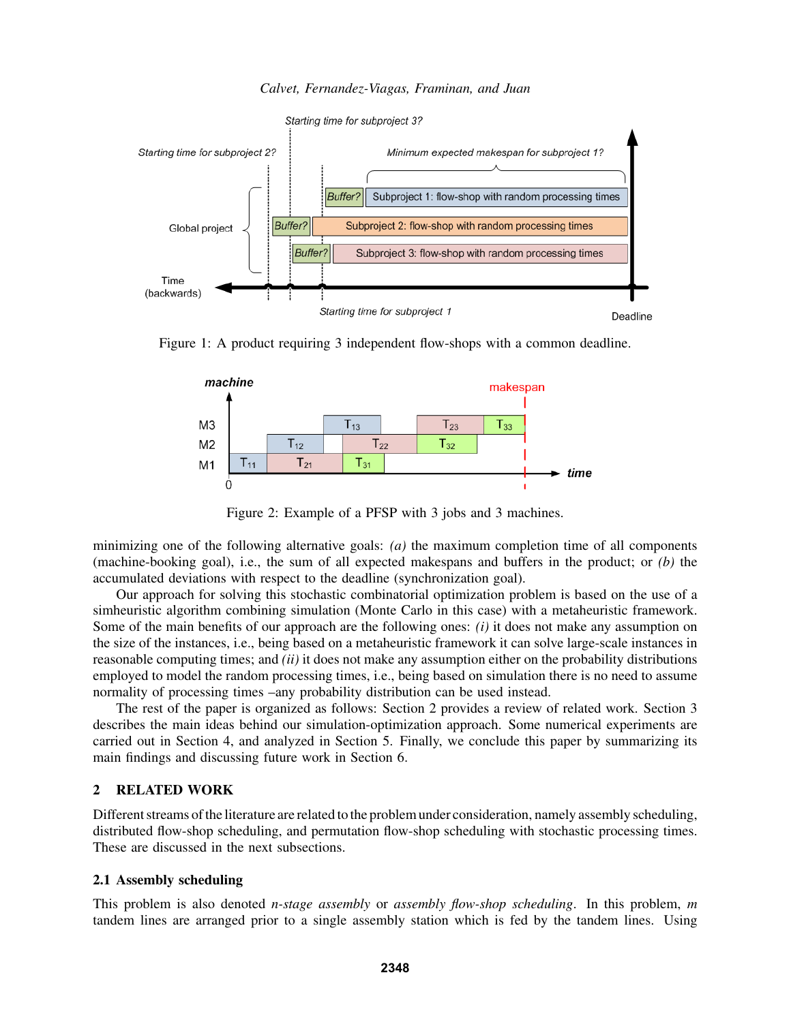*Calvet, Fernandez-Viagas, Framinan, and Juan*



Figure 1: A product requiring 3 independent flow-shops with a common deadline.



Figure 2: Example of a PFSP with 3 jobs and 3 machines.

minimizing one of the following alternative goals: *(a)* the maximum completion time of all components (machine-booking goal), i.e., the sum of all expected makespans and buffers in the product; or *(b)* the accumulated deviations with respect to the deadline (synchronization goal).

Our approach for solving this stochastic combinatorial optimization problem is based on the use of a simheuristic algorithm combining simulation (Monte Carlo in this case) with a metaheuristic framework. Some of the main benefits of our approach are the following ones: *(i)* it does not make any assumption on the size of the instances, i.e., being based on a metaheuristic framework it can solve large-scale instances in reasonable computing times; and *(ii)* it does not make any assumption either on the probability distributions employed to model the random processing times, i.e., being based on simulation there is no need to assume normality of processing times –any probability distribution can be used instead.

The rest of the paper is organized as follows: Section 2 provides a review of related work. Section 3 describes the main ideas behind our simulation-optimization approach. Some numerical experiments are carried out in Section 4, and analyzed in Section 5. Finally, we conclude this paper by summarizing its main findings and discussing future work in Section 6.

### 2 RELATED WORK

Different streams of the literature are related to the problem under consideration, namely assembly scheduling, distributed flow-shop scheduling, and permutation flow-shop scheduling with stochastic processing times. These are discussed in the next subsections.

### 2.1 Assembly scheduling

This problem is also denoted *n-stage assembly* or *assembly flow-shop scheduling*. In this problem, *m* tandem lines are arranged prior to a single assembly station which is fed by the tandem lines. Using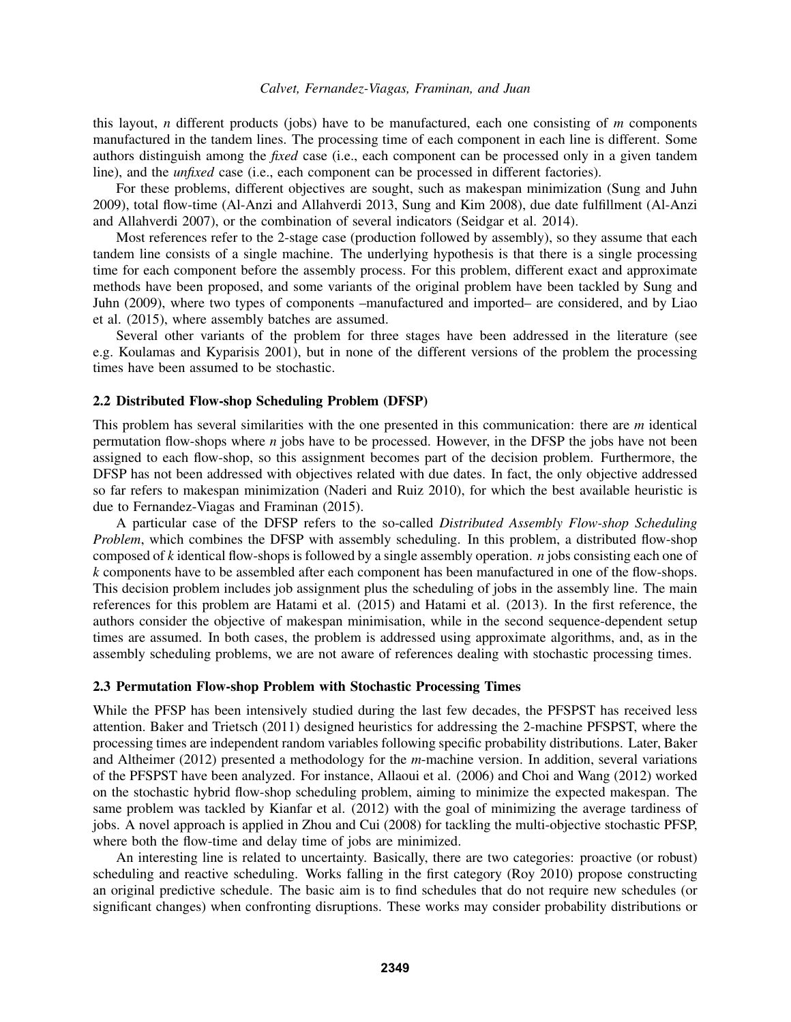#### *Calvet, Fernandez-Viagas, Framinan, and Juan*

this layout, *n* different products (jobs) have to be manufactured, each one consisting of *m* components manufactured in the tandem lines. The processing time of each component in each line is different. Some authors distinguish among the *fixed* case (i.e., each component can be processed only in a given tandem line), and the *unfixed* case (i.e., each component can be processed in different factories).

For these problems, different objectives are sought, such as makespan minimization (Sung and Juhn 2009), total flow-time (Al-Anzi and Allahverdi 2013, Sung and Kim 2008), due date fulfillment (Al-Anzi and Allahverdi 2007), or the combination of several indicators (Seidgar et al. 2014).

Most references refer to the 2-stage case (production followed by assembly), so they assume that each tandem line consists of a single machine. The underlying hypothesis is that there is a single processing time for each component before the assembly process. For this problem, different exact and approximate methods have been proposed, and some variants of the original problem have been tackled by Sung and Juhn (2009), where two types of components –manufactured and imported– are considered, and by Liao et al. (2015), where assembly batches are assumed.

Several other variants of the problem for three stages have been addressed in the literature (see e.g. Koulamas and Kyparisis 2001), but in none of the different versions of the problem the processing times have been assumed to be stochastic.

#### 2.2 Distributed Flow-shop Scheduling Problem (DFSP)

This problem has several similarities with the one presented in this communication: there are *m* identical permutation flow-shops where *n* jobs have to be processed. However, in the DFSP the jobs have not been assigned to each flow-shop, so this assignment becomes part of the decision problem. Furthermore, the DFSP has not been addressed with objectives related with due dates. In fact, the only objective addressed so far refers to makespan minimization (Naderi and Ruiz 2010), for which the best available heuristic is due to Fernandez-Viagas and Framinan (2015).

A particular case of the DFSP refers to the so-called *Distributed Assembly Flow-shop Scheduling Problem*, which combines the DFSP with assembly scheduling. In this problem, a distributed flow-shop composed of *k* identical flow-shops is followed by a single assembly operation. *n* jobs consisting each one of *k* components have to be assembled after each component has been manufactured in one of the flow-shops. This decision problem includes job assignment plus the scheduling of jobs in the assembly line. The main references for this problem are Hatami et al. (2015) and Hatami et al. (2013). In the first reference, the authors consider the objective of makespan minimisation, while in the second sequence-dependent setup times are assumed. In both cases, the problem is addressed using approximate algorithms, and, as in the assembly scheduling problems, we are not aware of references dealing with stochastic processing times.

#### 2.3 Permutation Flow-shop Problem with Stochastic Processing Times

While the PFSP has been intensively studied during the last few decades, the PFSPST has received less attention. Baker and Trietsch (2011) designed heuristics for addressing the 2-machine PFSPST, where the processing times are independent random variables following specific probability distributions. Later, Baker and Altheimer (2012) presented a methodology for the *m*-machine version. In addition, several variations of the PFSPST have been analyzed. For instance, Allaoui et al. (2006) and Choi and Wang (2012) worked on the stochastic hybrid flow-shop scheduling problem, aiming to minimize the expected makespan. The same problem was tackled by Kianfar et al. (2012) with the goal of minimizing the average tardiness of jobs. A novel approach is applied in Zhou and Cui (2008) for tackling the multi-objective stochastic PFSP, where both the flow-time and delay time of jobs are minimized.

An interesting line is related to uncertainty. Basically, there are two categories: proactive (or robust) scheduling and reactive scheduling. Works falling in the first category (Roy 2010) propose constructing an original predictive schedule. The basic aim is to find schedules that do not require new schedules (or significant changes) when confronting disruptions. These works may consider probability distributions or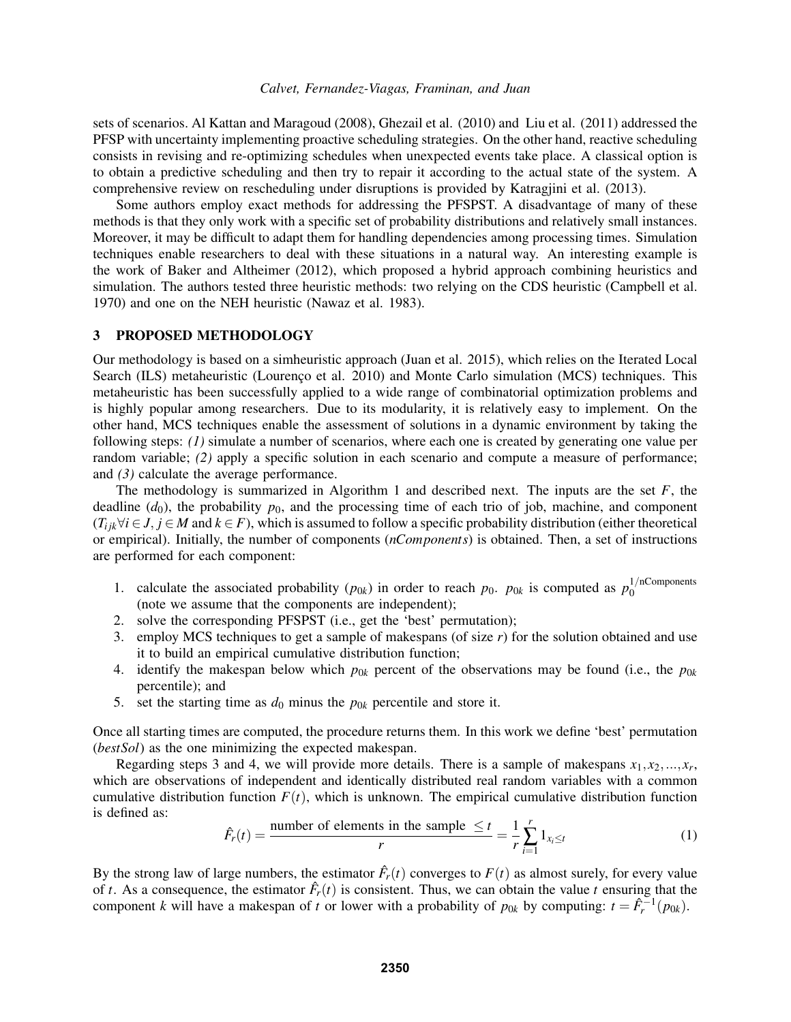sets of scenarios. Al Kattan and Maragoud (2008), Ghezail et al. (2010) and Liu et al. (2011) addressed the PFSP with uncertainty implementing proactive scheduling strategies. On the other hand, reactive scheduling consists in revising and re-optimizing schedules when unexpected events take place. A classical option is to obtain a predictive scheduling and then try to repair it according to the actual state of the system. A comprehensive review on rescheduling under disruptions is provided by Katragjini et al. (2013).

Some authors employ exact methods for addressing the PFSPST. A disadvantage of many of these methods is that they only work with a specific set of probability distributions and relatively small instances. Moreover, it may be difficult to adapt them for handling dependencies among processing times. Simulation techniques enable researchers to deal with these situations in a natural way. An interesting example is the work of Baker and Altheimer (2012), which proposed a hybrid approach combining heuristics and simulation. The authors tested three heuristic methods: two relying on the CDS heuristic (Campbell et al. 1970) and one on the NEH heuristic (Nawaz et al. 1983).

#### 3 PROPOSED METHODOLOGY

Our methodology is based on a simheuristic approach (Juan et al. 2015), which relies on the Iterated Local Search (ILS) metaheuristic (Lourenço et al. 2010) and Monte Carlo simulation (MCS) techniques. This metaheuristic has been successfully applied to a wide range of combinatorial optimization problems and is highly popular among researchers. Due to its modularity, it is relatively easy to implement. On the other hand, MCS techniques enable the assessment of solutions in a dynamic environment by taking the following steps: *(1)* simulate a number of scenarios, where each one is created by generating one value per random variable; *(2)* apply a specific solution in each scenario and compute a measure of performance; and *(3)* calculate the average performance.

The methodology is summarized in Algorithm 1 and described next. The inputs are the set  $F$ , the deadline  $(d_0)$ , the probability  $p_0$ , and the processing time of each trio of job, machine, and component  $(T_{ijk} \forall i \in J, j \in M$  and  $k \in F$ ), which is assumed to follow a specific probability distribution (either theoretical or empirical). Initially, the number of components (*nComponents*) is obtained. Then, a set of instructions are performed for each component:

- 1. calculate the associated probability  $(p_{0k})$  in order to reach  $p_0$ .  $p_{0k}$  is computed as  $p_0^{1/n$ Components  $\boldsymbol{0}$ (note we assume that the components are independent);
- 2. solve the corresponding PFSPST (i.e., get the 'best' permutation);
- 3. employ MCS techniques to get a sample of makespans (of size *r*) for the solution obtained and use it to build an empirical cumulative distribution function;
- 4. identify the makespan below which  $p_{0k}$  percent of the observations may be found (i.e., the  $p_{0k}$ percentile); and
- 5. set the starting time as  $d_0$  minus the  $p_{0k}$  percentile and store it.

Once all starting times are computed, the procedure returns them. In this work we define 'best' permutation (*bestSol*) as the one minimizing the expected makespan.

Regarding steps 3 and 4, we will provide more details. There is a sample of makespans  $x_1, x_2, \ldots, x_r$ , which are observations of independent and identically distributed real random variables with a common cumulative distribution function  $F(t)$ , which is unknown. The empirical cumulative distribution function is defined as:

$$
\hat{F}_r(t) = \frac{\text{number of elements in the sample } \le t}{r} = \frac{1}{r} \sum_{i=1}^r 1_{x_i \le t} \tag{1}
$$

By the strong law of large numbers, the estimator  $\hat{F}_r(t)$  converges to  $F(t)$  as almost surely, for every value of *t*. As a consequence, the estimator  $\hat{F}_r(t)$  is consistent. Thus, we can obtain the value *t* ensuring that the component *k* will have a makespan of *t* or lower with a probability of  $p_{0k}$  by computing:  $t = \hat{F}_r^{-1}(p_{0k})$ .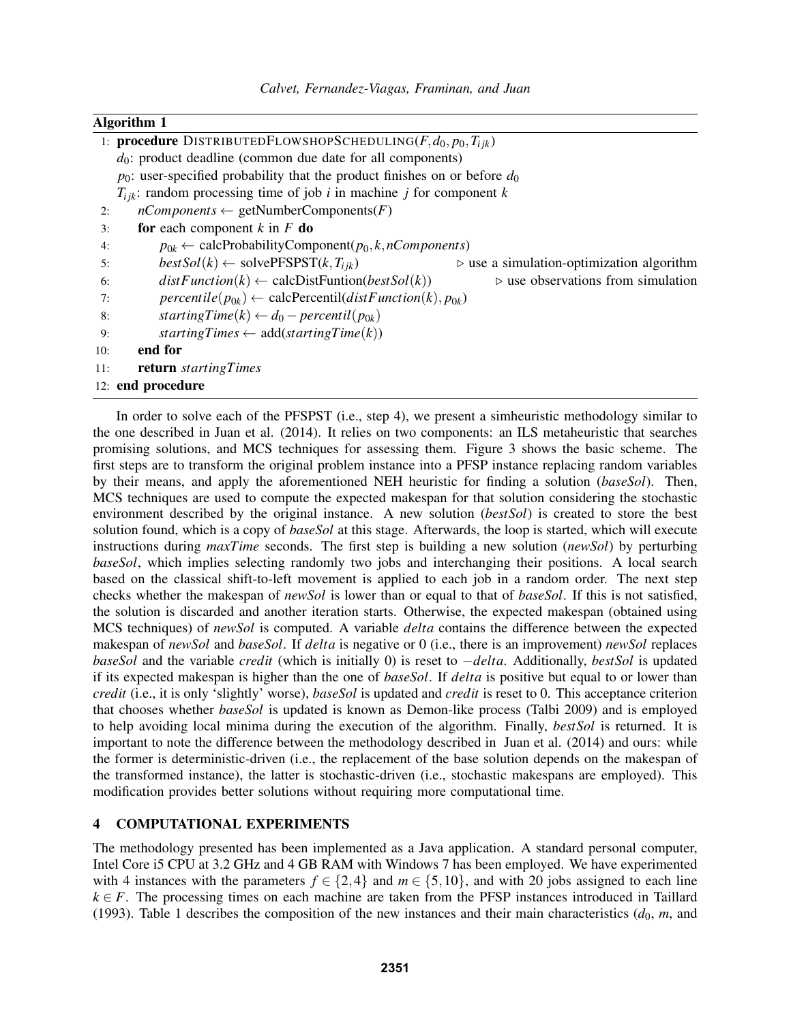### Algorithm 1

| $d_0$ : product deadline (common due date for all components)<br>$p_0$ : user-specified probability that the product finishes on or before $d_0$ |  |  |  |  |  |  |  |
|--------------------------------------------------------------------------------------------------------------------------------------------------|--|--|--|--|--|--|--|
|                                                                                                                                                  |  |  |  |  |  |  |  |
|                                                                                                                                                  |  |  |  |  |  |  |  |
| $T_{ijk}$ : random processing time of job <i>i</i> in machine <i>j</i> for component <i>k</i>                                                    |  |  |  |  |  |  |  |
| $nComponents \leftarrow getNumberComponents(F)$<br>2:                                                                                            |  |  |  |  |  |  |  |
| for each component $k$ in $F$ do<br>3:                                                                                                           |  |  |  |  |  |  |  |
| $p_{0k} \leftarrow \text{calcProbabilityComponent}(p_0, k, nComponents)$<br>4:                                                                   |  |  |  |  |  |  |  |
| $bestSol(k) \leftarrow solvePFSPST(k, T_{ijk})$<br>$\triangleright$ use a simulation-optimization algorithm<br>5:                                |  |  |  |  |  |  |  |
| $distFunction(k) \leftarrow calcDistFunction(bestSol(k))$<br>$\triangleright$ use observations from simulation<br>6:                             |  |  |  |  |  |  |  |
| $percentile(p_{0k}) \leftarrow calcPercentil(distFunction(k), p_{0k})$<br>7:                                                                     |  |  |  |  |  |  |  |
| starting $Time(k) \leftarrow d_0 - percentil(p_{0k})$<br>8:                                                                                      |  |  |  |  |  |  |  |
| startingTimes $\leftarrow$ add(startingTime(k))<br>9:                                                                                            |  |  |  |  |  |  |  |
| end for<br>10:                                                                                                                                   |  |  |  |  |  |  |  |
| return startingTimes<br>11:                                                                                                                      |  |  |  |  |  |  |  |
| 12: end procedure                                                                                                                                |  |  |  |  |  |  |  |

In order to solve each of the PFSPST (i.e., step 4), we present a simheuristic methodology similar to the one described in Juan et al. (2014). It relies on two components: an ILS metaheuristic that searches promising solutions, and MCS techniques for assessing them. Figure 3 shows the basic scheme. The first steps are to transform the original problem instance into a PFSP instance replacing random variables by their means, and apply the aforementioned NEH heuristic for finding a solution (*baseSol*). Then, MCS techniques are used to compute the expected makespan for that solution considering the stochastic environment described by the original instance. A new solution (*bestSol*) is created to store the best solution found, which is a copy of *baseSol* at this stage. Afterwards, the loop is started, which will execute instructions during *maxTime* seconds. The first step is building a new solution (*newSol*) by perturbing *baseSol*, which implies selecting randomly two jobs and interchanging their positions. A local search based on the classical shift-to-left movement is applied to each job in a random order. The next step checks whether the makespan of *newSol* is lower than or equal to that of *baseSol*. If this is not satisfied, the solution is discarded and another iteration starts. Otherwise, the expected makespan (obtained using MCS techniques) of *newSol* is computed. A variable *delta* contains the difference between the expected makespan of *newSol* and *baseSol*. If *delta* is negative or 0 (i.e., there is an improvement) *newSol* replaces *baseSol* and the variable *credit* (which is initially 0) is reset to −*delta*. Additionally, *bestSol* is updated if its expected makespan is higher than the one of *baseSol*. If *delta* is positive but equal to or lower than *credit* (i.e., it is only 'slightly' worse), *baseSol* is updated and *credit* is reset to 0. This acceptance criterion that chooses whether *baseSol* is updated is known as Demon-like process (Talbi 2009) and is employed to help avoiding local minima during the execution of the algorithm. Finally, *bestSol* is returned. It is important to note the difference between the methodology described in Juan et al. (2014) and ours: while the former is deterministic-driven (i.e., the replacement of the base solution depends on the makespan of the transformed instance), the latter is stochastic-driven (i.e., stochastic makespans are employed). This modification provides better solutions without requiring more computational time.

### 4 COMPUTATIONAL EXPERIMENTS

The methodology presented has been implemented as a Java application. A standard personal computer, Intel Core i5 CPU at 3.2 GHz and 4 GB RAM with Windows 7 has been employed. We have experimented with 4 instances with the parameters  $f \in \{2,4\}$  and  $m \in \{5,10\}$ , and with 20 jobs assigned to each line  $k \in F$ . The processing times on each machine are taken from the PFSP instances introduced in Taillard (1993). Table 1 describes the composition of the new instances and their main characteristics  $(d_0, m,$  and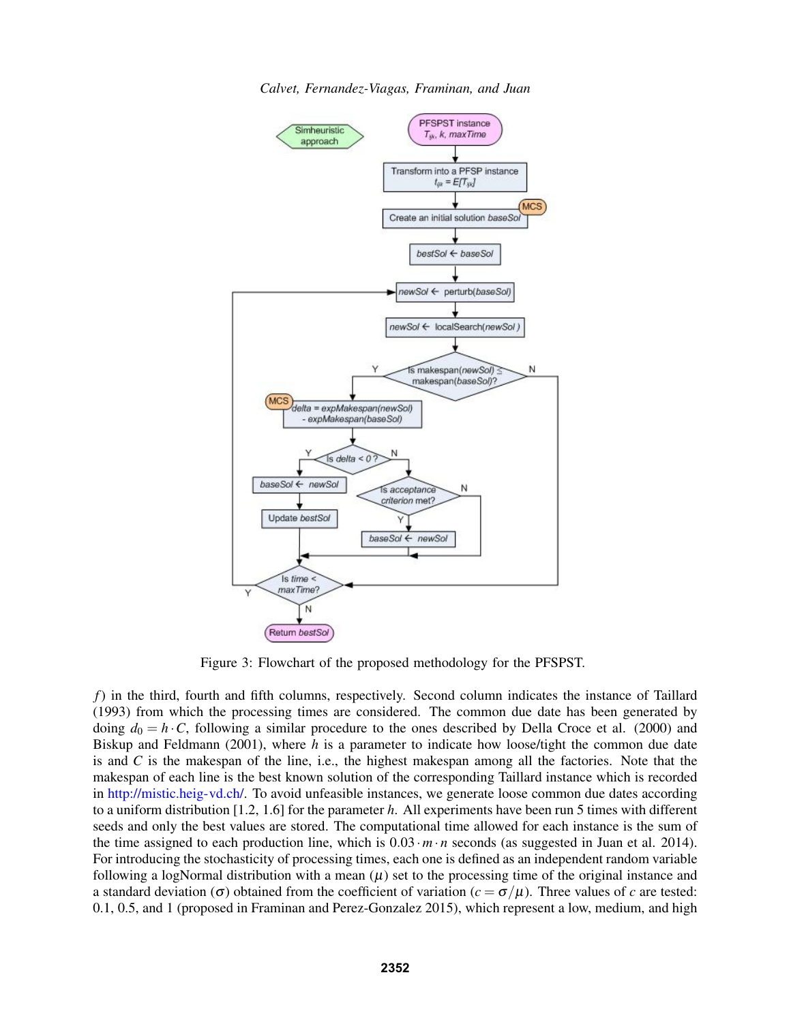

*Calvet, Fernandez-Viagas, Framinan, and Juan*

Figure 3: Flowchart of the proposed methodology for the PFSPST.

*f*) in the third, fourth and fifth columns, respectively. Second column indicates the instance of Taillard (1993) from which the processing times are considered. The common due date has been generated by doing  $d_0 = h \cdot C$ , following a similar procedure to the ones described by Della Croce et al. (2000) and Biskup and Feldmann (2001), where *h* is a parameter to indicate how loose/tight the common due date is and *C* is the makespan of the line, i.e., the highest makespan among all the factories. Note that the makespan of each line is the best known solution of the corresponding Taillard instance which is recorded in http://mistic.heig-vd.ch/. To avoid unfeasible instances, we generate loose common due dates according to a uniform distribution [1.2, 1.6] for the parameter *h*. All experiments have been run 5 times with different seeds and only the best values are stored. The computational time allowed for each instance is the sum of the time assigned to each production line, which is  $0.03 \cdot m \cdot n$  seconds (as suggested in Juan et al. 2014). For introducing the stochasticity of processing times, each one is defined as an independent random variable following a logNormal distribution with a mean  $(\mu)$  set to the processing time of the original instance and a standard deviation (σ) obtained from the coefficient of variation ( $c = σ/μ$ ). Three values of *c* are tested: 0.1, 0.5, and 1 (proposed in Framinan and Perez-Gonzalez 2015), which represent a low, medium, and high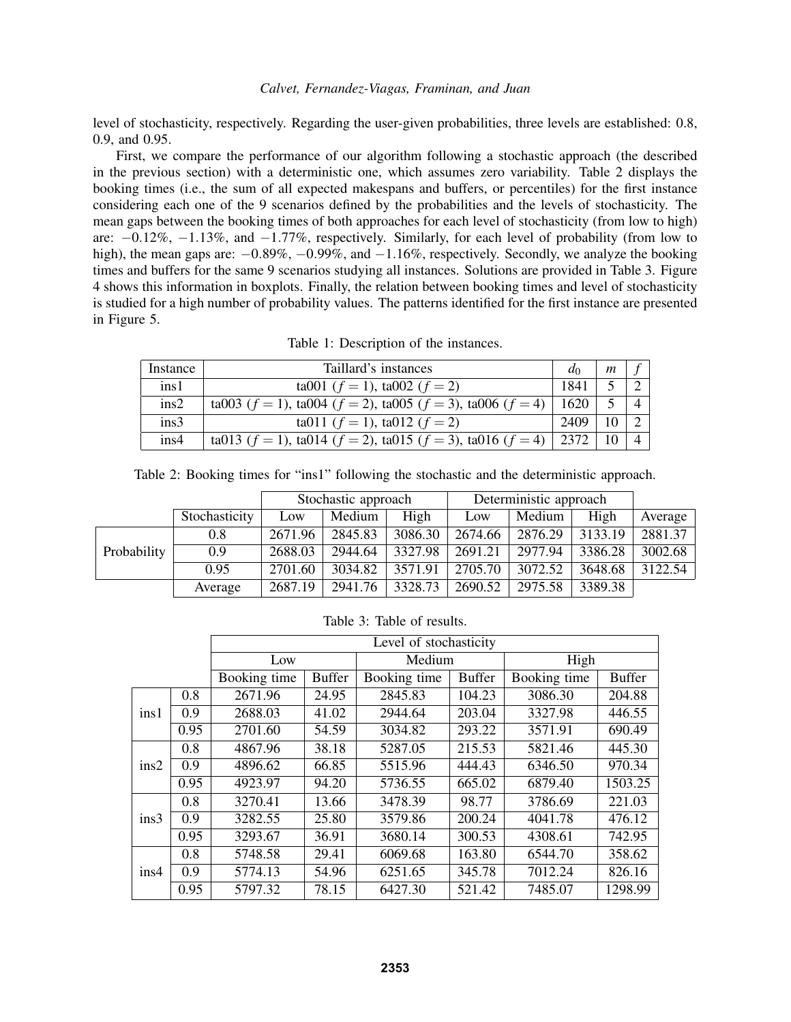level of stochasticity, respectively. Regarding the user-given probabilities, three levels are established: 0.8, 0.9, and 0.95.

First, we compare the performance of our algorithm following a stochastic approach (the described in the previous section) with a deterministic one, which assumes zero variability. Table 2 displays the booking times (i.e., the sum of all expected makespans and buffers, or percentiles) for the first instance considering each one of the 9 scenarios defined by the probabilities and the levels of stochasticity. The mean gaps between the booking times of both approaches for each level of stochasticity (from low to high) are: −0.12%, −1.13%, and −1.77%, respectively. Similarly, for each level of probability (from low to high), the mean gaps are:  $-0.89\%$ ,  $-0.99\%$ , and  $-1.16\%$ , respectively. Secondly, we analyze the booking times and buffers for the same 9 scenarios studying all instances. Solutions are provided in Table 3. Figure 4 shows this information in boxplots. Finally, the relation between booking times and level of stochasticity is studied for a high number of probability values. The patterns identified for the first instance are presented in Figure 5.

Table 1: Description of the instances.

| Instance | Taillard's instances                                                              | $a_0$ | $\mathfrak{m}$ |  |
|----------|-----------------------------------------------------------------------------------|-------|----------------|--|
| ins1     | ta001 ( $f = 1$ ), ta002 ( $f = 2$ )                                              | 1841  |                |  |
| ins2     | ta003 ( $f = 1$ ), ta004 ( $f = 2$ ), ta005 ( $f = 3$ ), ta006 ( $f = 4$ )        | 1620  |                |  |
| ins3     | ta011 ( $f = 1$ ), ta012 ( $f = 2$ )                                              | 2409  |                |  |
| ins4     | ta013 ( $f = 1$ ), ta014 ( $f = 2$ ), ta015 ( $f = 3$ ), ta016 ( $f = 4$ )   2372 |       |                |  |

| Table 2: Booking times for "ins1" following the stochastic and the deterministic approach. |  |  |  |
|--------------------------------------------------------------------------------------------|--|--|--|
|                                                                                            |  |  |  |

|             |               | Stochastic approach |         |         | Deterministic approach |         |         |         |
|-------------|---------------|---------------------|---------|---------|------------------------|---------|---------|---------|
|             | Stochasticity | Low                 | Medium  | High    | Low                    | Medium  | High    | Average |
| Probability | 0.8           | 2671.96             | 2845.83 | 3086.30 | 2674.66                | 2876.29 | 3133.19 | 2881.37 |
|             | 0.9           | 2688.03             | 2944.64 | 3327.98 | 2691.21                | 2977.94 | 3386.28 | 3002.68 |
|             | 0.95          | 2701.60             | 3034.82 | 3571.91 | 2705.70                | 3072.52 | 3648.68 | 3122.54 |
|             | Average       | 2687.19             | 2941.76 | 3328.73 | 2690.52                | 2975.58 | 3389.38 |         |

Table 3: Table of results.

|      |      | Level of stochasticity |               |              |               |              |               |
|------|------|------------------------|---------------|--------------|---------------|--------------|---------------|
|      |      | Low                    |               | Medium       |               | High         |               |
|      |      | Booking time           | <b>Buffer</b> | Booking time | <b>Buffer</b> | Booking time | <b>Buffer</b> |
| ins1 | 0.8  | 2671.96                | 24.95         | 2845.83      | 104.23        | 3086.30      | 204.88        |
|      | 0.9  | 2688.03                | 41.02         | 2944.64      | 203.04        | 3327.98      | 446.55        |
|      | 0.95 | 2701.60                | 54.59         | 3034.82      | 293.22        | 3571.91      | 690.49        |
| ins2 | 0.8  | 4867.96                | 38.18         | 5287.05      | 215.53        | 5821.46      | 445.30        |
|      | 0.9  | 4896.62                | 66.85         | 5515.96      | 444.43        | 6346.50      | 970.34        |
|      | 0.95 | 4923.97                | 94.20         | 5736.55      | 665.02        | 6879.40      | 1503.25       |
| ins3 | 0.8  | 3270.41                | 13.66         | 3478.39      | 98.77         | 3786.69      | 221.03        |
|      | 0.9  | 3282.55                | 25.80         | 3579.86      | 200.24        | 4041.78      | 476.12        |
|      | 0.95 | 3293.67                | 36.91         | 3680.14      | 300.53        | 4308.61      | 742.95        |
| ins4 | 0.8  | 5748.58                | 29.41         | 6069.68      | 163.80        | 6544.70      | 358.62        |
|      | 0.9  | 5774.13                | 54.96         | 6251.65      | 345.78        | 7012.24      | 826.16        |
|      | 0.95 | 5797.32                | 78.15         | 6427.30      | 521.42        | 7485.07      | 1298.99       |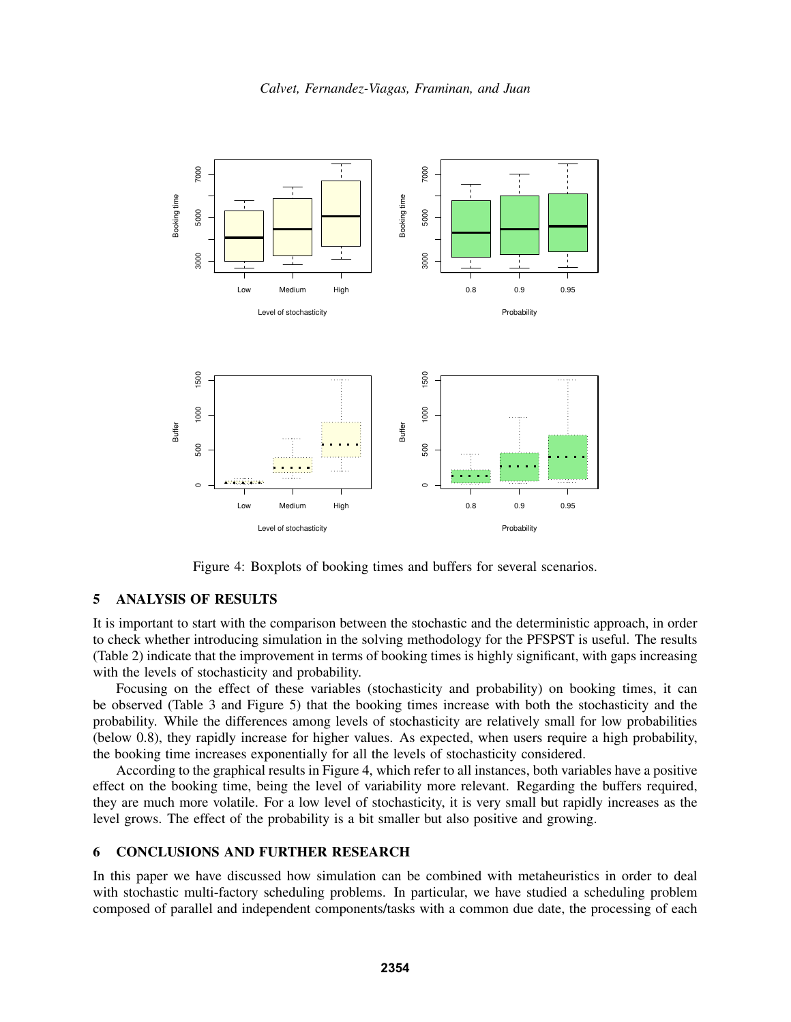



Figure 4: Boxplots of booking times and buffers for several scenarios.

### 5 ANALYSIS OF RESULTS

It is important to start with the comparison between the stochastic and the deterministic approach, in order to check whether introducing simulation in the solving methodology for the PFSPST is useful. The results (Table 2) indicate that the improvement in terms of booking times is highly significant, with gaps increasing with the levels of stochasticity and probability.

Focusing on the effect of these variables (stochasticity and probability) on booking times, it can be observed (Table 3 and Figure 5) that the booking times increase with both the stochasticity and the probability. While the differences among levels of stochasticity are relatively small for low probabilities (below 0.8), they rapidly increase for higher values. As expected, when users require a high probability, the booking time increases exponentially for all the levels of stochasticity considered.

According to the graphical results in Figure 4, which refer to all instances, both variables have a positive effect on the booking time, being the level of variability more relevant. Regarding the buffers required, they are much more volatile. For a low level of stochasticity, it is very small but rapidly increases as the level grows. The effect of the probability is a bit smaller but also positive and growing.

### 6 CONCLUSIONS AND FURTHER RESEARCH

In this paper we have discussed how simulation can be combined with metaheuristics in order to deal with stochastic multi-factory scheduling problems. In particular, we have studied a scheduling problem composed of parallel and independent components/tasks with a common due date, the processing of each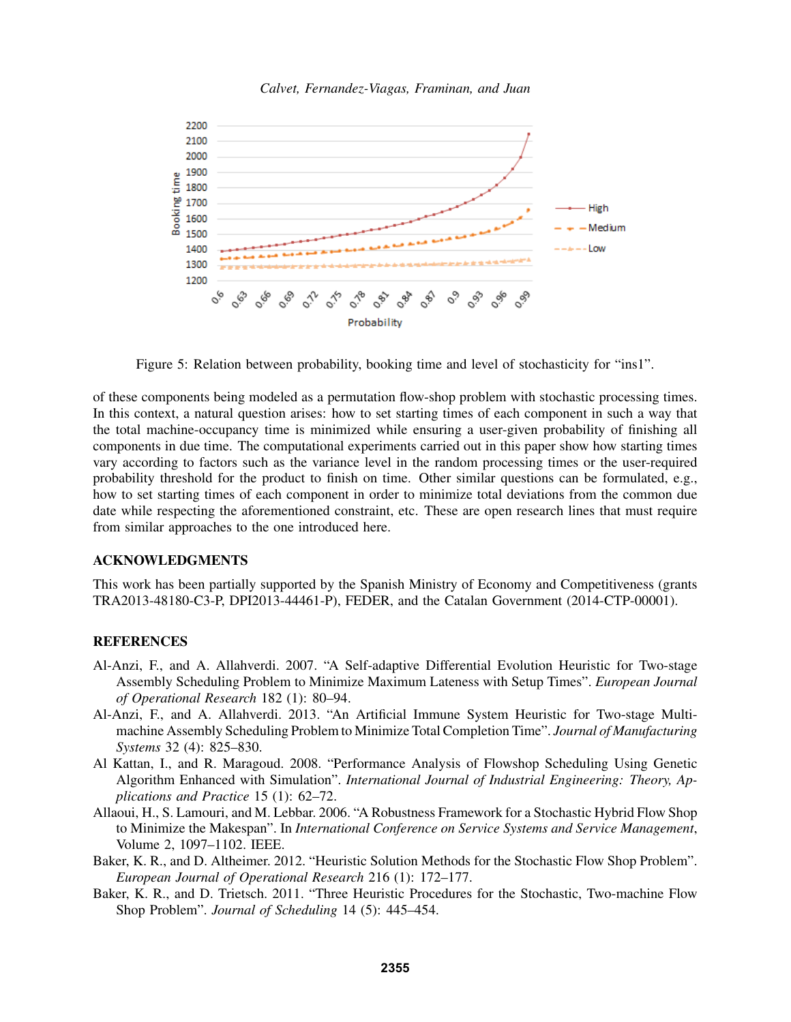

*Calvet, Fernandez-Viagas, Framinan, and Juan*

Figure 5: Relation between probability, booking time and level of stochasticity for "ins1".

of these components being modeled as a permutation flow-shop problem with stochastic processing times. In this context, a natural question arises: how to set starting times of each component in such a way that the total machine-occupancy time is minimized while ensuring a user-given probability of finishing all components in due time. The computational experiments carried out in this paper show how starting times vary according to factors such as the variance level in the random processing times or the user-required probability threshold for the product to finish on time. Other similar questions can be formulated, e.g., how to set starting times of each component in order to minimize total deviations from the common due date while respecting the aforementioned constraint, etc. These are open research lines that must require from similar approaches to the one introduced here.

## ACKNOWLEDGMENTS

This work has been partially supported by the Spanish Ministry of Economy and Competitiveness (grants TRA2013-48180-C3-P, DPI2013-44461-P), FEDER, and the Catalan Government (2014-CTP-00001).

### **REFERENCES**

- Al-Anzi, F., and A. Allahverdi. 2007. "A Self-adaptive Differential Evolution Heuristic for Two-stage Assembly Scheduling Problem to Minimize Maximum Lateness with Setup Times". *European Journal of Operational Research* 182 (1): 80–94.
- Al-Anzi, F., and A. Allahverdi. 2013. "An Artificial Immune System Heuristic for Two-stage Multimachine Assembly Scheduling Problem to Minimize Total Completion Time". *Journal of Manufacturing Systems* 32 (4): 825–830.
- Al Kattan, I., and R. Maragoud. 2008. "Performance Analysis of Flowshop Scheduling Using Genetic Algorithm Enhanced with Simulation". *International Journal of Industrial Engineering: Theory, Applications and Practice* 15 (1): 62–72.
- Allaoui, H., S. Lamouri, and M. Lebbar. 2006. "A Robustness Framework for a Stochastic Hybrid Flow Shop to Minimize the Makespan". In *International Conference on Service Systems and Service Management*, Volume 2, 1097–1102. IEEE.
- Baker, K. R., and D. Altheimer. 2012. "Heuristic Solution Methods for the Stochastic Flow Shop Problem". *European Journal of Operational Research* 216 (1): 172–177.
- Baker, K. R., and D. Trietsch. 2011. "Three Heuristic Procedures for the Stochastic, Two-machine Flow Shop Problem". *Journal of Scheduling* 14 (5): 445–454.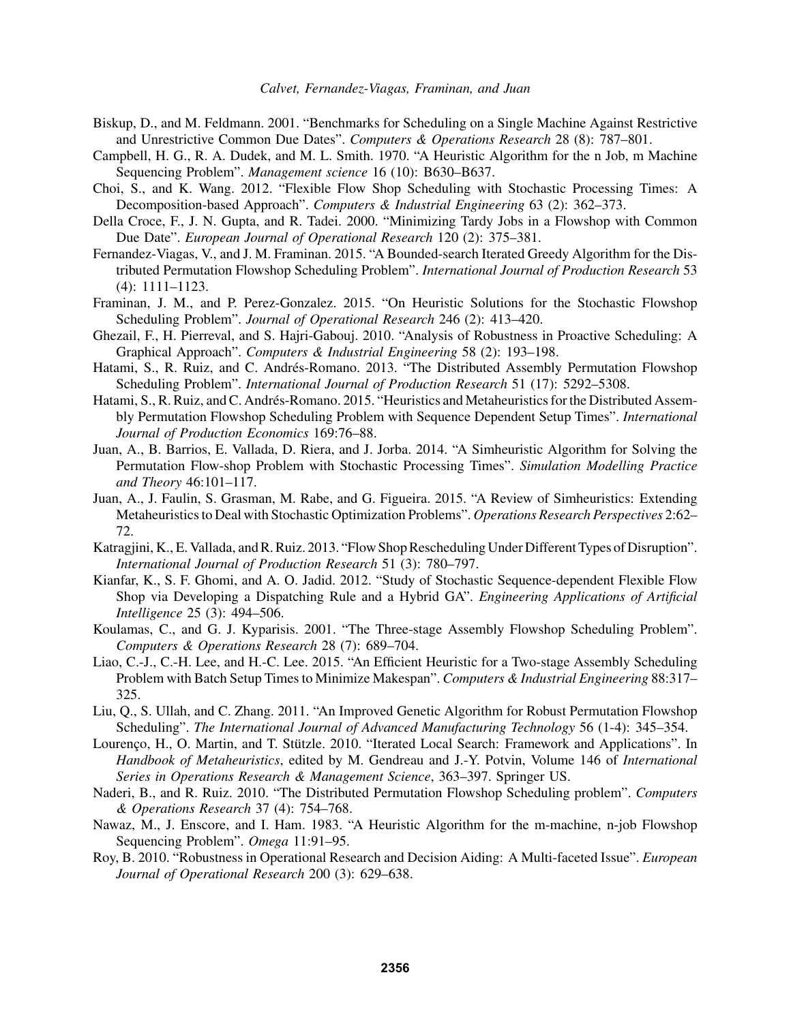- Biskup, D., and M. Feldmann. 2001. "Benchmarks for Scheduling on a Single Machine Against Restrictive and Unrestrictive Common Due Dates". *Computers & Operations Research* 28 (8): 787–801.
- Campbell, H. G., R. A. Dudek, and M. L. Smith. 1970. "A Heuristic Algorithm for the n Job, m Machine Sequencing Problem". *Management science* 16 (10): B630–B637.
- Choi, S., and K. Wang. 2012. "Flexible Flow Shop Scheduling with Stochastic Processing Times: A Decomposition-based Approach". *Computers & Industrial Engineering* 63 (2): 362–373.
- Della Croce, F., J. N. Gupta, and R. Tadei. 2000. "Minimizing Tardy Jobs in a Flowshop with Common Due Date". *European Journal of Operational Research* 120 (2): 375–381.
- Fernandez-Viagas, V., and J. M. Framinan. 2015. "A Bounded-search Iterated Greedy Algorithm for the Distributed Permutation Flowshop Scheduling Problem". *International Journal of Production Research* 53 (4): 1111–1123.
- Framinan, J. M., and P. Perez-Gonzalez. 2015. "On Heuristic Solutions for the Stochastic Flowshop Scheduling Problem". *Journal of Operational Research* 246 (2): 413–420.
- Ghezail, F., H. Pierreval, and S. Hajri-Gabouj. 2010. "Analysis of Robustness in Proactive Scheduling: A Graphical Approach". *Computers & Industrial Engineering* 58 (2): 193–198.
- Hatami, S., R. Ruiz, and C. Andrés-Romano. 2013. "The Distributed Assembly Permutation Flowshop Scheduling Problem". *International Journal of Production Research* 51 (17): 5292–5308.
- Hatami, S., R. Ruiz, and C. Andrés-Romano. 2015. "Heuristics and Metaheuristics for the Distributed Assembly Permutation Flowshop Scheduling Problem with Sequence Dependent Setup Times". *International Journal of Production Economics* 169:76–88.
- Juan, A., B. Barrios, E. Vallada, D. Riera, and J. Jorba. 2014. "A Simheuristic Algorithm for Solving the Permutation Flow-shop Problem with Stochastic Processing Times". *Simulation Modelling Practice and Theory* 46:101–117.
- Juan, A., J. Faulin, S. Grasman, M. Rabe, and G. Figueira. 2015. "A Review of Simheuristics: Extending Metaheuristics to Deal with Stochastic Optimization Problems". *Operations Research Perspectives* 2:62– 72.
- Katragjini, K., E. Vallada, and R. Ruiz. 2013. "Flow Shop Rescheduling Under Different Types of Disruption". *International Journal of Production Research* 51 (3): 780–797.
- Kianfar, K., S. F. Ghomi, and A. O. Jadid. 2012. "Study of Stochastic Sequence-dependent Flexible Flow Shop via Developing a Dispatching Rule and a Hybrid GA". *Engineering Applications of Artificial Intelligence* 25 (3): 494–506.
- Koulamas, C., and G. J. Kyparisis. 2001. "The Three-stage Assembly Flowshop Scheduling Problem". *Computers & Operations Research* 28 (7): 689–704.
- Liao, C.-J., C.-H. Lee, and H.-C. Lee. 2015. "An Efficient Heuristic for a Two-stage Assembly Scheduling Problem with Batch Setup Times to Minimize Makespan". *Computers & Industrial Engineering* 88:317– 325.
- Liu, Q., S. Ullah, and C. Zhang. 2011. "An Improved Genetic Algorithm for Robust Permutation Flowshop Scheduling". *The International Journal of Advanced Manufacturing Technology* 56 (1-4): 345–354.
- Lourenço, H., O. Martin, and T. Stützle. 2010. "Iterated Local Search: Framework and Applications". In *Handbook of Metaheuristics*, edited by M. Gendreau and J.-Y. Potvin, Volume 146 of *International Series in Operations Research & Management Science*, 363–397. Springer US.
- Naderi, B., and R. Ruiz. 2010. "The Distributed Permutation Flowshop Scheduling problem". *Computers & Operations Research* 37 (4): 754–768.
- Nawaz, M., J. Enscore, and I. Ham. 1983. "A Heuristic Algorithm for the m-machine, n-job Flowshop Sequencing Problem". *Omega* 11:91–95.
- Roy, B. 2010. "Robustness in Operational Research and Decision Aiding: A Multi-faceted Issue". *European Journal of Operational Research* 200 (3): 629–638.